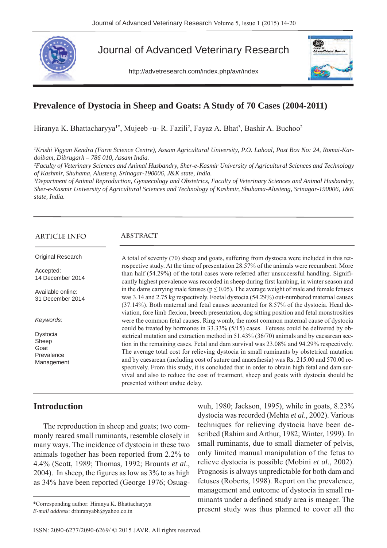

## Journal of Advanced Veterinary Research

http://advetresearch.com/index.php/avr/index



#### **Prevalence of Dystocia in Sheep and Goats: A Study of 70 Cases (2004-2011)**

Hiranya K. Bhattacharyya<sup>1\*</sup>, Mujeeb -u- R. Fazili<sup>2</sup>, Fayaz A. Bhat<sup>3</sup>, Bashir A. Buchoo<sup>2</sup>

*1 Krishi Vigyan Kendra (Farm Science Centre), Assam Agricultural University, P.O. Lahoal, Post Box No: 24, Romai-Kardoibam, Dibrugarh – 786 010, Assam India.*

*2 Faculty of Veterinary Sciences and Animal Husbandry, Sher-e-Kasmir University of Agricultural Sciences and Technology of Kashmir, Shuhama, Alusteng, Srinagar-190006, J&K state, India.*

*3 Department of Animal Reproduction, Gynaecology and Obstetrics, Faculty of Veterinary Sciences and Animal Husbandry, Sher-e-Kasmir University of Agricultural Sciences and Technology of Kashmir, Shuhama-Alusteng, Srinagar-190006, J&K state, India.* 

#### **ARTICLE INFO**

Original Research

Accepted: 14 December 2014

Available online: 31 December 2014

*Keywords:*

Dystocia Sheep Goat Prevalence Management

# **ABSTRACT**

A total of seventy (70) sheep and goats, suffering from dystocia were included in this retrospective study. At the time of presentation 28.57% of the animals were recumbent. More than half (54.29%) of the total cases were referred after unsuccessful handling. Significantly highest prevalence was recorded in sheep during first lambing, in winter season and in the dams carrying male fetuses ( $p \le 0.05$ ). The average weight of male and female fetuses was 3.14 and 2.75 kg respectively. Foetal dystocia (54.29%) out-numbered maternal causes (37.14%). Both maternal and fetal causes accounted for 8.57% of the dystocia. Head deviation, fore limb flexion, breech presentation, dog sitting position and fetal monstrosities were the common fetal causes. Ring womb, the most common maternal cause of dystocia could be treated by hormones in 33.33% (5/15) cases. Fetuses could be delivered by obstetrical mutation and extraction method in 51.43% (36/70) animals and by caesarean section in the remaining cases. Fetal and dam survival was 23.08% and 94.29% respectively. The average total cost for relieving dystocia in small ruminants by obstetrical mutation and by caesarean (including cost of suture and anaesthesia) was Rs. 215.00 and 570.00 respectively. From this study, it is concluded that in order to obtain high fetal and dam survival and also to reduce the cost of treatment, sheep and goats with dystocia should be presented without undue delay.

#### **Introduction**

The reproduction in sheep and goats; two commonly reared small ruminants, resemble closely in many ways. The incidence of dystocia in these two animals together has been reported from 2.2% to 4.4% (Scott, 1989; Thomas, 1992; Brounts *et al*., 2004). In sheep, the figures as low as 3% to as high as 34% have been reported (George 1976; Osuag-

*E-mail address*: drhiranyabh@yahoo.co.in

wuh, 1980; Jackson, 1995), while in goats, 8.23% dystocia was recorded (Mehta *et al*., 2002). Various techniques for relieving dystocia have been described (Rahim and Arthur, 1982; Winter, 1999). In small ruminants, due to small diameter of pelvis, only limited manual manipulation of the fetus to relieve dystocia is possible (Mobini *et al*., 2002). Prognosis is always unpredictable for both dam and fetuses (Roberts, 1998). Report on the prevalence, management and outcome of dystocia in small ruminants under a defined study area is meager. The \*Corresponding author: Hiranya K. Bhattacharyya<br>F-mail address: drhiranyabh@yahoo.co.in **present study was thus planned to cover all the**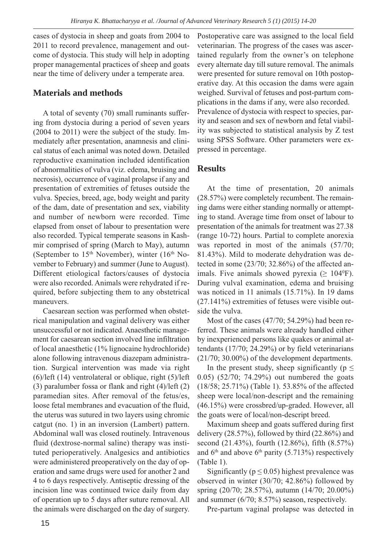cases of dystocia in sheep and goats from 2004 to 2011 to record prevalence, management and outcome of dystocia. This study will help in adopting proper managemental practices of sheep and goats near the time of delivery under a temperate area.

#### **Materials and methods**

A total of seventy (70) small ruminants suffering from dystocia during a period of seven years (2004 to 2011) were the subject of the study. Immediately after presentation, anamnesis and clinical status of each animal was noted down. Detailed reproductive examination included identification of abnormalities of vulva (viz. edema, bruising and necrosis), occurrence of vaginal prolapse if any and presentation of extremities of fetuses outside the vulva. Species, breed, age, body weight and parity of the dam, date of presentation and sex, viability and number of newborn were recorded. Time elapsed from onset of labour to presentation were also recorded. Typical temperate seasons in Kashmir comprised of spring (March to May), autumn (September to  $15<sup>th</sup>$  November), winter  $(16<sup>th</sup>$  November to February) and summer (June to August). Different etiological factors/causes of dystocia were also recorded. Animals were rehydrated if required, before subjecting them to any obstetrical maneuvers.

Caesarean section was performed when obstetrical manipulation and vaginal delivery was either unsuccessful or not indicated. Anaesthetic management for caesarean section involved line infiltration of local anaesthetic (1% lignocaine hydrochloride) alone following intravenous diazepam administration. Surgical intervention was made via right (6)/left (14) ventrolateral or oblique, right (5)/left (3) paralumber fossa or flank and right (4)/left (2) paramedian sites. After removal of the fetus/es, loose fetal membranes and evacuation of the fluid, the uterus was sutured in two layers using chromic catgut (no. 1) in an inversion (Lambert) pattern. Abdominal wall was closed routinely. Intravenous fluid (dextrose-normal saline) therapy was instituted perioperatively. Analgesics and antibiotics were administered preoperatively on the day of operation and same drugs were used for another 2 and 4 to 6 days respectively. Antiseptic dressing of the incision line was continued twice daily from day of operation up to 5 days after suture removal. All the animals were discharged on the day of surgery.

Postoperative care was assigned to the local field veterinarian. The progress of the cases was ascertained regularly from the owner's on telephone every alternate day till suture removal. The animals were presented for suture removal on 10th postoperative day. At this occasion the dams were again weighed. Survival of fetuses and post-partum complications in the dams if any, were also recorded. Prevalence of dystocia with respect to species, parity and season and sex of newborn and fetal viability was subjected to statistical analysis by Z test using SPSS Software. Other parameters were expressed in percentage.

#### **Results**

At the time of presentation, 20 animals (28.57%) were completely recumbent. The remaining dams were either standing normally or attempting to stand. Average time from onset of labour to presentation of the animals for treatment was 27.38 (range 10-72) hours. Partial to complete anorexia was reported in most of the animals (57/70; 81.43%). Mild to moderate dehydration was detected in some (23/70; 32.86%) of the affected animals. Five animals showed pyrexia ( $\geq 104^{\circ}$ F). During vulval examination, edema and bruising was noticed in 11 animals (15.71%). In 19 dams  $(27.141\%)$  extremities of fetuses were visible outside the vulva.

Most of the cases (47/70; 54.29%) had been referred. These animals were already handled either by inexperienced persons like quakes or animal attendants (17/70; 24.29%) or by field veterinarians (21/70; 30.00%) of the development departments.

In the present study, sheep significantly ( $p \leq$ 0.05) (52/70; 74.29%) out numbered the goats (18/58; 25.71%) (Table 1). 53.85% of the affected sheep were local/non-descript and the remaining (46.15%) were crossbred/up-graded. However, all the goats were of local/non-descript breed.

Maximum sheep and goats suffered during first delivery (28.57%), followed by third (22.86%) and second (21.43%), fourth (12.86%), fifth (8.57%) and  $6<sup>th</sup>$  and above  $6<sup>th</sup>$  parity (5.713%) respectively (Table 1).

Significantly ( $p \le 0.05$ ) highest prevalence was observed in winter (30/70; 42.86%) followed by spring (20/70; 28.57%), autumn (14/70; 20.00%) and summer (6/70; 8.57%) season, respectively.

Pre-partum vaginal prolapse was detected in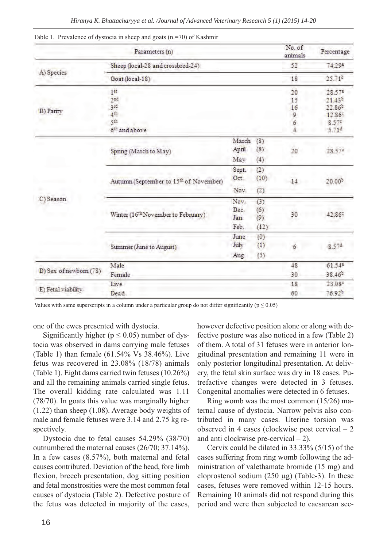|                        | Parameters (n)                                     |       |      | No. of<br>animals | Percentage         |
|------------------------|----------------------------------------------------|-------|------|-------------------|--------------------|
|                        | Sheep (local-28 and crossbred-24)                  |       |      | 52                | 74.29*             |
| A) Species             | Goat (local-18)                                    |       |      | 18                | $25.71^{5}$        |
| B) Parity              | $1$ <sup>ET</sup>                                  |       |      | 20                | 28.57*             |
|                        | <sub>2</sub> nd                                    |       |      | 15                | $21.43^{5}$        |
|                        | 3sd                                                |       |      | 16                | 22.86 <sup>b</sup> |
|                        | 4th                                                |       |      | 9                 | 12.869             |
|                        | şıh                                                |       |      | 6                 | 8.575              |
|                        | 6 <sup>th</sup> and above                          |       |      | $\frac{1}{2}$     | 5.714              |
|                        | Spring (March to May)                              | March | (8)  |                   |                    |
|                        |                                                    | April | (8)  | 20                | 28.574             |
|                        |                                                    | May   | (4)  |                   |                    |
|                        | Autumn (September to 15 <sup>th</sup> of November) | Sept. | (2)  | 14                |                    |
| C) Season              |                                                    | Oct.  | (10) |                   | 20.00 <sup>b</sup> |
|                        |                                                    | Nov.  | (2)  |                   |                    |
|                        | Winter (16 <sup>th</sup> November to February)     | Nov.  | (3)  | 30                |                    |
|                        |                                                    | Dec.  | (6)  |                   |                    |
|                        |                                                    | Jan.  | (9)  |                   | 42.869             |
|                        |                                                    | Feb.  | (12) |                   |                    |
|                        | Summer (June to August)                            | June  | (0)  |                   |                    |
|                        |                                                    | July  | (1)  | 6                 | 8.574              |
|                        |                                                    | Aug   | (5)  |                   |                    |
| D) Sex of newborn (78) | Male                                               |       |      | 48                | 61.54*             |
|                        | Female                                             |       |      | 30                | 38.46 <sup>b</sup> |
| E) Fetal viability     | Live                                               |       |      | 18                | 23.08*             |
|                        | Dead.                                              |       |      | 60                | 76.92b             |

Table 1. Prevalence of dystocia in sheep and goats (n.=70) of Kashmir

Values with same superscripts in a column under a particular group do not differ significantly ( $p \le 0.05$ )

one of the ewes presented with dystocia.

Significantly higher ( $p \le 0.05$ ) number of dystocia was observed in dams carrying male fetuses (Table 1) than female (61.54% Vs 38.46%). Live fetus was recovered in 23.08% (18/78) animals (Table 1). Eight dams carried twin fetuses (10.26%) and all the remaining animals carried single fetus. The overall kidding rate calculated was 1.11 (78/70). In goats this value was marginally higher (1.22) than sheep (1.08). Average body weights of male and female fetuses were 3.14 and 2.75 kg respectively.

Dystocia due to fetal causes 54.29% (38/70) outnumbered the maternal causes (26/70; 37.14%). In a few cases (8.57%), both maternal and fetal causes contributed. Deviation of the head, fore limb flexion, breech presentation, dog sitting position and fetal monstrosities were the most common fetal causes of dystocia (Table 2). Defective posture of the fetus was detected in majority of the cases,

however defective position alone or along with defective posture was also noticed in a few (Table 2) of them. A total of 31 fetuses were in anterior longitudinal presentation and remaining 11 were in only posterior longitudinal presentation. At delivery, the fetal skin surface was dry in 18 cases. Putrefactive changes were detected in 3 fetuses. Congenital anomalies were detected in 6 fetuses.

Ring womb was the most common (15/26) maternal cause of dystocia. Narrow pelvis also contributed in many cases. Uterine torsion was observed in 4 cases (clockwise post cervical – 2 and anti clockwise pre-cervical  $-2$ ).

Cervix could be dilated in 33.33% (5/15) of the cases suffering from ring womb following the administration of valethamate bromide (15 mg) and cloprostenol sodium  $(250 \mu g)$  (Table-3). In these cases, fetuses were removed within 12-15 hours. Remaining 10 animals did not respond during this period and were then subjected to caesarean sec-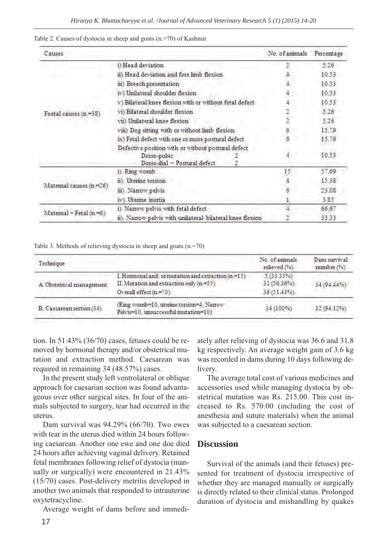| Causes                          |                                                           |  | No. of animals | Percentage |
|---------------------------------|-----------------------------------------------------------|--|----------------|------------|
| Foetal causes (n.=38)           | i) Head deviation                                         |  |                | 5.26       |
|                                 | ii) Head deviation and fore limb flexion                  |  |                | 10.53      |
|                                 | iii) Breech presentation                                  |  |                | 10.53      |
|                                 | iv) Unilateral shoulder flexion                           |  |                | 10.53      |
|                                 | v) Bilateral knee flexion with or without fetal defect    |  |                | 10.53      |
|                                 | vi) Bilateral shoulder flexion                            |  |                | 5.26       |
|                                 | vii) Unilateral knee flexion                              |  |                | 5.26       |
|                                 | viii) Dog sitting with or without limb flexion            |  |                | 15.79      |
|                                 | ix) Fetal defect with one or more postural defect         |  |                | 15.79      |
|                                 | Defective position with or without postural defect        |  |                |            |
|                                 | Dorso-pubic<br>Dorso-ilial - Postural defect              |  |                | 10.53      |
| Matemal causes (n.=26)          | 1). Ring womb                                             |  | 15.            | 57.69      |
|                                 | ii). Uterine torsion                                      |  |                | 15.38      |
|                                 | iii). Narrow pelvis                                       |  |                | 23.08      |
|                                 | iv). Utenne inertia                                       |  |                | 3.85       |
| $\text{Matemal}$ + Fetal (n.=6) | i). Narrow pelvis with fetal defect.                      |  |                | 66.67      |
|                                 | ii). Narrow pelvis with unilateral bilateral knee flexion |  |                | 33.33      |

Table 2. Causes of dystocia in sheep and goats (n.=70) of Kashmir

Table 3. Methods of relieving dystocia in sheep and goats (n.=70)

| Technique                 |                                                                                                                           | No of animals<br>relieved (%)              | Dam survival<br>number (%) |
|---------------------------|---------------------------------------------------------------------------------------------------------------------------|--------------------------------------------|----------------------------|
| A. Obstetrical management | I. Hormonal and or mutation and extraction $(n=15)$<br>II. Mutation and extraction only (n.=55)<br>Overall effect (n.=70) | $5(33.33\%)$<br>31 (56.36%)<br>36 (51.43%) | 34 (94.44%)                |
| B. Caesarean section (34) | (Ring womb=10, uterine torsion=4, Narrow<br>Pelvis=10. unsuccessful mutation=10)                                          | 34 (100%)                                  | 32 (94.12%)                |

tion. In 51.43% (36/70) cases, fetuses could be removed by hormonal therapy and/or obstetrical mutation and extraction method. Caesarean was required in remaining 34 (48.57%) cases.

In the present study left ventrolateral or oblique approach for caesarian section was found advantageous over other surgical sites. In four of the animals subjected to surgery, tear had occurred in the uterus.

Dam survival was 94.29% (66/70). Two ewes with tear in the uterus died within 24 hours following caesarean. Another one ewe and one doe died 24 hours after achieving vaginal delivery. Retained fetal membranes following relief of dystocia (manually or surgically) were encountered in 21.43% (15/70) cases. Post-delivery metritis developed in another two animals that responded to intrauterine oxytetracycline.

Average weight of dams before and immedi-

ately after relieving of dystocia was 36.6 and 31.8 kg respectively. An average weight gain of 3.6 kg was recorded in dams during 10 days following delivery.

The average total cost of various medicines and accessories used while managing dystocia by obstetrical mutation was Rs. 215.00. This cost increased to Rs. 570.00 (including the cost of anesthesia and suture materials) when the animal was subjected to a caesarean section.

#### **Discussion**

Survival of the animals (and their fetuses) presented for treatment of dystocia irrespective of whether they are managed manually or surgically is directly related to their clinical status. Prolonged duration of dystocia and mishandling by quakes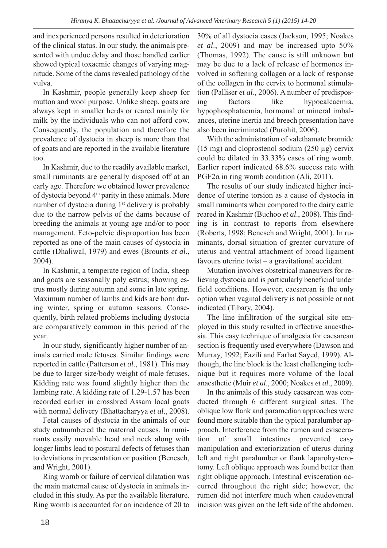and inexperienced persons resulted in deterioration of the clinical status. In our study, the animals presented with undue delay and those handled earlier showed typical toxaemic changes of varying magnitude. Some of the dams revealed pathology of the vulva.

In Kashmir, people generally keep sheep for mutton and wool purpose. Unlike sheep, goats are always kept in smaller herds or reared mainly for milk by the individuals who can not afford cow. Consequently, the population and therefore the prevalence of dystocia in sheep is more than that of goats and are reported in the available literature too.

In Kashmir, due to the readily available market, small ruminants are generally disposed off at an early age. Therefore we obtained lower prevalence of dystocia beyond 4<sup>th</sup> parity in these animals. More number of dystocia during  $1<sup>st</sup>$  delivery is probably due to the narrow pelvis of the dams because of breeding the animals at young age and/or to poor management. Feto-pelvic disproportion has been reported as one of the main causes of dystocia in cattle (Dhaliwal, 1979) and ewes (Brounts *et al*., 2004).

In Kashmir, a temperate region of India, sheep and goats are seasonally poly estrus; showing estrus mostly during autumn and some in late spring. Maximum number of lambs and kids are born during winter, spring or autumn seasons. Consequently, birth related problems including dystocia are comparatively common in this period of the year.

In our study, significantly higher number of animals carried male fetuses. Similar findings were reported in cattle (Patterson *et al*., 1981). This may be due to larger size/body weight of male fetuses. Kidding rate was found slightly higher than the lambing rate. A kidding rate of 1.29-1.57 has been recorded earlier in crossbred Assam local goats with normal delivery (Bhattacharyya *et al*., 2008).

Fetal causes of dystocia in the animals of our study outnumbered the maternal causes. In ruminants easily movable head and neck along with longer limbs lead to postural defects of fetuses than to deviations in presentation or position (Benesch, and Wright, 2001).

Ring womb or failure of cervical dilatation was the main maternal cause of dystocia in animals included in this study. As per the available literature. Ring womb is accounted for an incidence of 20 to

30% of all dystocia cases (Jackson, 1995; Noakes *et al*., 2009) and may be increased upto 50% (Thomas, 1992). The cause is still unknown but may be due to a lack of release of hormones involved in softening collagen or a lack of response of the collagen in the cervix to hormonal stimulation (Palliser *et al*., 2006). A number of predisposing factors like hypocalcaemia, hypophosphataemia, hormonal or mineral imbalances, uterine inertia and breech presentation have also been incriminated (Purohit, 2006).

With the administration of valethamate bromide (15 mg) and cloprostenol sodium (250 µg) cervix could be dilated in 33.33% cases of ring womb. Earlier report indicated 68.6% success rate with PGF2 $\alpha$  in ring womb condition (Ali, 2011).

The results of our study indicated higher incidence of uterine torsion as a cause of dystocia in small ruminants when compared to the dairy cattle reared in Kashmir (Buchoo *et al*., 2008). This finding is in contrast to reports from elsewhere (Roberts, 1998; Benesch and Wright, 2001). In ruminants, dorsal situation of greater curvature of uterus and ventral attachment of broad ligament favours uterine twist – a gravitational accident.

Mutation involves obstetrical maneuvers for relieving dystocia and is particularly beneficial under field conditions. However, caesarean is the only option when vaginal delivery is not possible or not indicated (Tibary, 2004).

The line infiltration of the surgical site employed in this study resulted in effective anaesthesia. This easy technique of analgesia for caesarean section is frequently used everywhere (Dawson and Murray, 1992; Fazili and Farhat Sayed, 1999). Although, the line block is the least challenging technique but it requires more volume of the local anaesthetic (Muir *et al*., 2000; Noakes *et al*., 2009).

In the animals of this study caesarean was conducted through 6 different surgical sites. The oblique low flank and paramedian approaches were found more suitable than the typical paralumber approach. Interference from the rumen and evisceration of small intestines prevented easy manipulation and exteriorization of uterus during left and right paralumber or flank laparohysterotomy. Left oblique approach was found better than right oblique approach. Intestinal evisceration occurred throughout the right side; however, the rumen did not interfere much when caudoventral incision was given on the left side of the abdomen.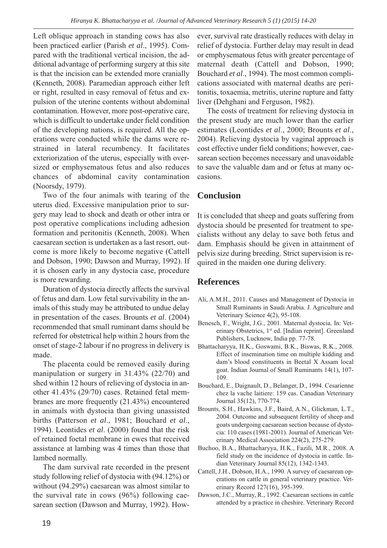Left oblique approach in standing cows has also been practiced earlier (Parish *et al*., 1995). Compared with the traditional vertical incision, the additional advantage of performing surgery at this site is that the incision can be extended more cranially (Kenneth, 2008). Paramedian approach either left or right, resulted in easy removal of fetus and expulsion of the uterine contents without abdominal contamination. However, more post-operative care, which is difficult to undertake under field condition of the developing nations, is required. All the operations were conducted while the dams were restrained in lateral recumbency. It facilitates exteriorization of the uterus, especially with oversized or emphysematous fetus and also reduces chances of abdominal cavity contamination (Noorsdy, 1979).

Two of the four animals with tearing of the uterus died. Excessive manipulation prior to surgery may lead to shock and death or other intra or post operative complications including adhesion formation and peritonitis (Kenneth, 2008). When caesarean section is undertaken as a last resort, outcome is more likely to become negative (Cattell and Dobson, 1990; Dawson and Murray, 1992). If it is chosen early in any dystocia case, procedure is more rewarding.

Duration of dystocia directly affects the survival of fetus and dam. Low fetal survivability in the animals of this study may be attributed to undue delay in presentation of the cases. Brounts *et al*. (2004) recommended that small ruminant dams should be referred for obstetrical help within 2 hours from the onset of stage-2 labour if no progress in delivery is made.

The placenta could be removed easily during manipulation or surgery in 31.43% (22/70) and shed within 12 hours of relieving of dystocia in another 41.43% (29/70) cases. Retained fetal membranes are more frequently (21.43%) encountered in animals with dystocia than giving unassisted births (Patterson *et al*., 1981; Bouchard *et al*., 1994). Leontides *et al*. (2000) found that the risk of retained foetal membrane in ewes that received assistance at lambing was 4 times than those that lambed normally.

The dam survival rate recorded in the present study following relief of dystocia with (94.12%) or without (94.29%) caesarean was almost similar to the survival rate in cows (96%) following caesarean section (Dawson and Murray, 1992). How-

ever, survival rate drastically reduces with delay in relief of dystocia. Further delay may result in dead or emphysematous fetus with greater percentage of maternal death (Cattell and Dobson, 1990; Bouchard *et al*., 1994). The most common complications associated with maternal deaths are peritonitis, toxaemia, metritis, uterine rupture and fatty liver (Dehghani and Ferguson, 1982).

The costs of treatment for relieving dystocia in the present study are much lower than the earlier estimates (Leontides *et al*., 2000; Brounts *et al*., 2004). Relieving dystocia by vaginal approach is cost effective under field conditions; however, caesarean section becomes necessary and unavoidable to save the valuable dam and or fetus at many occasions.

## **Conclusion**

It is concluded that sheep and goats suffering from dystocia should be presented for treatment to specialists without any delay to save both fetus and dam. Emphasis should be given in attainment of pelvis size during breeding. Strict supervision is required in the maiden one during delivery.

## **References**

- Ali, A.M.H., 2011. Causes and Management of Dystocia in Small Ruminants in Saudi Arabia. J. Agriculture and Veterinary Science 4(2), 95-108.
- Benesch, F., Wright, J.G., 2001. Maternal dystocia. In: Veterinary Obstetrics, 1<sup>st</sup> ed. [Indian reprint]. Greenland Publishers, Lucknow, India pp. 77-78.
- Bhattacharyya, H.K., Goswami, B.K., Biswas, R.K., 2008. Effect of insemination time on multiple kidding and dam's blood constituents in Beetal X Assam local goat. Indian Journal of Small Ruminants 14(1), 107- 109.
- Bouchard, E., Daignault, D., Belanger, D., 1994. Cesarienne chez la vache laitiere: 159 cas. Canadian Veterinary Journal 35(12), 770-774.
- Brounts, S.H., Hawkins, J.F., Baird, A.N., Glickman, L.T., 2004. Outcome and subsequent fertility of sheep and goats undergoing caesarean section because of dystocia: 110 cases (1981-2001). Journal of American Veterinary Medical Association 224(2), 275-279.
- Buchoo, B.A., Bhattacharyya, H.K., Fazili, M.R., 2008. A field study on the incidence of dystocia in cattle. Indian Veterinary Journal 85(12), 1342-1343.
- Cattell, J.H., Dobson, H.A., 1990. A survey of caesarean operations on cattle in general veterinary practice. Veterinary Record 127(16), 395-399.
- Dawson, J.C., Murray, R., 1992. Caesarean sections in cattle attended by a practice in cheshire. Veterinary Record